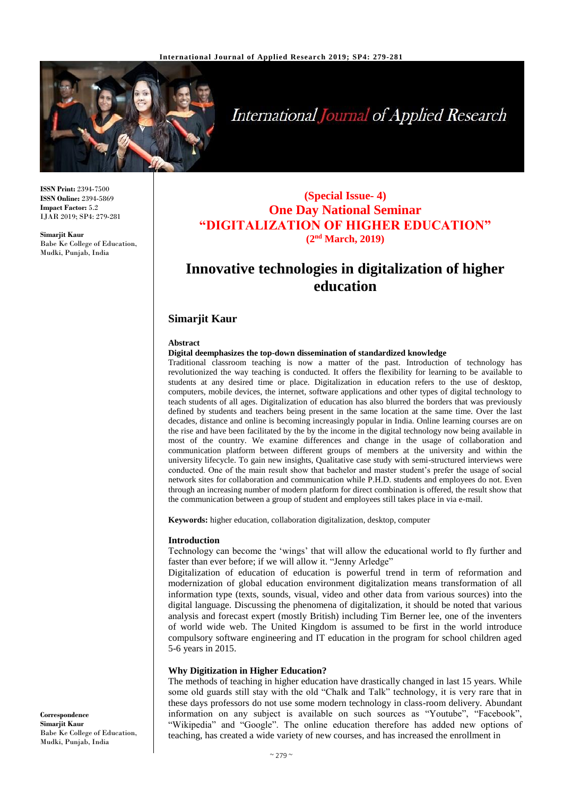

**International Journal of Applied Research** 

**ISSN Print:** 2394-7500 **ISSN Online:** 2394-5869 **Impact Factor:** 5.2 IJAR 2019; SP4: 279-281

**Simarjit Kaur** Babe Ke College of Education, Mudki, Punjab, India

## **(Special Issue- 4) One Day National Seminar "DIGITALIZATION OF HIGHER EDUCATION" (2nd March, 2019)**

# **Innovative technologies in digitalization of higher education**

## **Simarjit Kaur**

#### **Abstract**

#### **Digital deemphasizes the top-down dissemination of standardized knowledge**

Traditional classroom teaching is now a matter of the past. Introduction of technology has revolutionized the way teaching is conducted. It offers the flexibility for learning to be available to students at any desired time or place. Digitalization in education refers to the use of desktop, computers, mobile devices, the internet, software applications and other types of digital technology to teach students of all ages. Digitalization of education has also blurred the borders that was previously defined by students and teachers being present in the same location at the same time. Over the last decades, distance and online is becoming increasingly popular in India. Online learning courses are on the rise and have been facilitated by the by the income in the digital technology now being available in most of the country. We examine differences and change in the usage of collaboration and communication platform between different groups of members at the university and within the university lifecycle. To gain new insights, Qualitative case study with semi-structured interviews were conducted. One of the main result show that bachelor and master student's prefer the usage of social network sites for collaboration and communication while P.H.D. students and employees do not. Even through an increasing number of modern platform for direct combination is offered, the result show that the communication between a group of student and employees still takes place in via e-mail.

**Keywords:** higher education, collaboration digitalization, desktop, computer

#### **Introduction**

Technology can become the 'wings' that will allow the educational world to fly further and faster than ever before; if we will allow it. "Jenny Arledge"

Digitalization of education of education is powerful trend in term of reformation and modernization of global education environment digitalization means transformation of all information type (texts, sounds, visual, video and other data from various sources) into the digital language. Discussing the phenomena of digitalization, it should be noted that various analysis and forecast expert (mostly British) including Tim Berner lee, one of the inventers of world wide web. The United Kingdom is assumed to be first in the world introduce compulsory software engineering and IT education in the program for school children aged 5-6 years in 2015.

## **Why Digitization in Higher Education?**

The methods of teaching in higher education have drastically changed in last 15 years. While some old guards still stay with the old "Chalk and Talk" technology, it is very rare that in these days professors do not use some modern technology in class-room delivery. Abundant information on any subject is available on such sources as "Youtube", "Facebook", "Wikipedia" and "Google". The online education therefore has added new options of teaching, has created a wide variety of new courses, and has increased the enrollment in

**Correspondence Simarjit Kaur** Babe Ke College of Education, Mudki, Punjab, India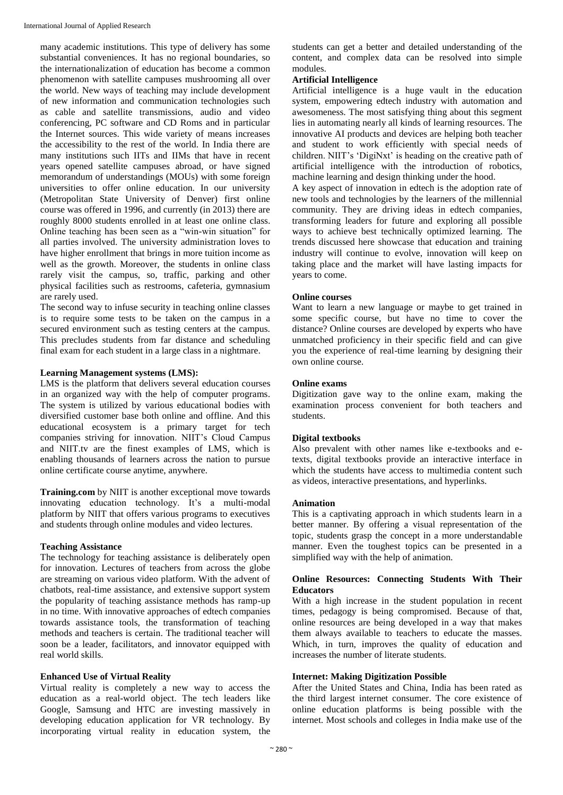many academic institutions. This type of delivery has some substantial conveniences. It has no regional boundaries, so the internationalization of education has become a common phenomenon with satellite campuses mushrooming all over the world. New ways of teaching may include development of new information and communication technologies such as cable and satellite transmissions, audio and video conferencing, PC software and CD Roms and in particular the Internet sources. This wide variety of means increases the accessibility to the rest of the world. In India there are many institutions such IITs and IIMs that have in recent years opened satellite campuses abroad, or have signed memorandum of understandings (MOUs) with some foreign universities to offer online education. In our university (Metropolitan State University of Denver) first online course was offered in 1996, and currently (in 2013) there are roughly 8000 students enrolled in at least one online class. Online teaching has been seen as a "win-win situation" for all parties involved. The university administration loves to have higher enrollment that brings in more tuition income as well as the growth. Moreover, the students in online class rarely visit the campus, so, traffic, parking and other physical facilities such as restrooms, cafeteria, gymnasium are rarely used.

The second way to infuse security in teaching online classes is to require some tests to be taken on the campus in a secured environment such as testing centers at the campus. This precludes students from far distance and scheduling final exam for each student in a large class in a nightmare.

#### **Learning Management systems (LMS):**

LMS is the platform that delivers several education courses in an organized way with the help of computer programs. The system is utilized by various educational bodies with diversified customer base both online and offline. And this educational ecosystem is a primary target for tech companies striving for innovation. NIIT's Cloud Campus and NIIT.tv are the finest examples of LMS, which is enabling thousands of learners across the nation to pursue online certificate course anytime, anywhere.

**Training.com** by NIIT is another exceptional move towards innovating education technology. It's a multi-modal platform by NIIT that offers various programs to executives and students through online modules and video lectures.

#### **Teaching Assistance**

The technology for teaching assistance is deliberately open for innovation. Lectures of teachers from across the globe are streaming on various video platform. With the advent of chatbots, real-time assistance, and extensive support system the popularity of teaching assistance methods has ramp-up in no time. With innovative approaches of edtech companies towards assistance tools, the transformation of teaching methods and teachers is certain. The traditional teacher will soon be a leader, facilitators, and innovator equipped with real world skills.

## **Enhanced Use of Virtual Reality**

Virtual reality is completely a new way to access the education as a real-world object. The tech leaders like Google, Samsung and HTC are investing massively in developing education application for VR technology. By incorporating virtual reality in education system, the

students can get a better and detailed understanding of the content, and complex data can be resolved into simple modules.

## **Artificial Intelligence**

Artificial intelligence is a huge vault in the education system, empowering edtech industry with automation and awesomeness. The most satisfying thing about this segment lies in automating nearly all kinds of learning resources. The innovative AI products and devices are helping both teacher and student to work efficiently with special needs of children. NIIT's 'DigiNxt' is heading on the creative path of artificial intelligence with the introduction of robotics, machine learning and design thinking under the hood.

A key aspect of innovation in edtech is the adoption rate of new tools and technologies by the learners of the millennial community. They are driving ideas in edtech companies, transforming leaders for future and exploring all possible ways to achieve best technically optimized learning. The trends discussed here showcase that education and training industry will continue to evolve, innovation will keep on taking place and the market will have lasting impacts for years to come.

#### **Online courses**

Want to learn a new language or maybe to get trained in some specific course, but have no time to cover the distance? Online courses are developed by experts who have unmatched proficiency in their specific field and can give you the experience of real-time learning by designing their own online course.

#### **Online exams**

Digitization gave way to the online exam, making the examination process convenient for both teachers and students.

## **Digital textbooks**

Also prevalent with other names like e-textbooks and etexts, digital textbooks provide an interactive interface in which the students have access to multimedia content such as videos, interactive presentations, and hyperlinks.

#### **Animation**

This is a captivating approach in which students learn in a better manner. By offering a visual representation of the topic, students grasp the concept in a more understandable manner. Even the toughest topics can be presented in a simplified way with the help of animation.

## **Online Resources: Connecting Students With Their Educators**

With a high increase in the student population in recent times, pedagogy is being compromised. Because of that, online resources are being developed in a way that makes them always available to teachers to educate the masses. Which, in turn, improves the quality of education and increases the number of literate students.

## **Internet: Making Digitization Possible**

After the United States and China, India has been rated as the third largest internet consumer. The core existence of online education platforms is being possible with the internet. Most schools and colleges in India make use of the